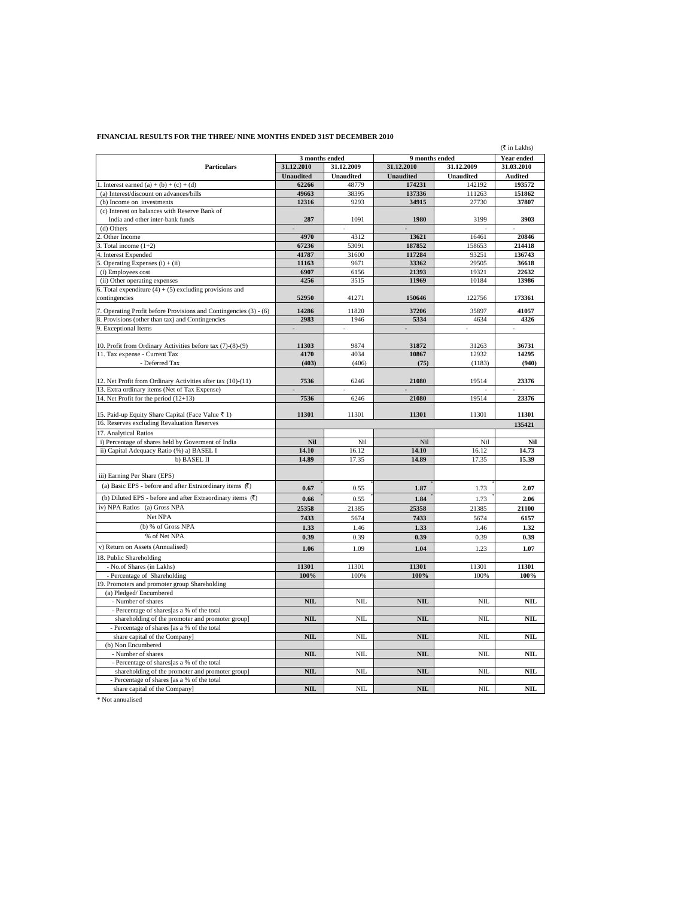## **FINANCIAL RESULTS FOR THE THREE/ NINE MONTHS ENDED 31ST DECEMBER 2010**

| (₹ in Lakhs)                                                                  |                          |                  |                  |                  |                          |  |
|-------------------------------------------------------------------------------|--------------------------|------------------|------------------|------------------|--------------------------|--|
|                                                                               | 3 months ended           |                  | 9 months ended   |                  | <b>Year ended</b>        |  |
| <b>Particulars</b>                                                            | 31.12.2010               | 31.12.2009       | 31.12.2010       | 31.12.2009       | 31.03.2010               |  |
|                                                                               | <b>Unaudited</b>         | <b>Unaudited</b> | <b>Unaudited</b> | <b>Unaudited</b> | <b>Audited</b>           |  |
| 1. Interest earned (a) + (b) + (c) + (d)                                      | 62266                    | 48779            | 174231           | 142192           | 193572                   |  |
| (a) Interest/discount on advances/bills                                       | 49663                    | 38395            | 137336           | 111263           | 151862                   |  |
| (b) Income on investments                                                     | 12316                    | 9293             | 34915            | 27730            | 37807                    |  |
| (c) Interest on balances with Reserve Bank of                                 |                          |                  |                  |                  |                          |  |
| India and other inter-bank funds                                              | 287                      | 1091             | 1980             | 3199             | 3903                     |  |
| (d) Others                                                                    | $\overline{a}$           | ÷,               | ÷,               |                  | $\overline{\phantom{a}}$ |  |
| 2. Other Income                                                               | 4970                     | 4312             | 13621            | 16461            | 20846                    |  |
| Total income $(1+2)$                                                          | 67236                    | 53091            | 187852           | 158653           | 214418                   |  |
| 4. Interest Expended                                                          | 41787                    | 31600            | 117284           | 93251            | 136743                   |  |
| Operating Expenses $(i) + (ii)$                                               | 11163                    | 9671             | 33362            | 29505            | 36618                    |  |
| (i) Employees cost                                                            | 6907                     | 6156             | 21393            | 19321            | 22632                    |  |
| (ii) Other operating expenses                                                 | 4256                     | 3515             | 11969            | 10184            | 13986                    |  |
| 6. Total expenditure $(4) + (5)$ excluding provisions and                     |                          |                  |                  |                  |                          |  |
| contingencies                                                                 | 52950                    | 41271            | 150646           | 122756           | 173361                   |  |
| 7. Operating Profit before Provisions and Contingencies (3) - (6)             | 14286                    | 11820            | 37206            | 35897            | 41057                    |  |
| 8. Provisions (other than tax) and Contingencies                              | 2983                     | 1946             | 5334             | 4634             | 4326                     |  |
| 9. Exceptional Items                                                          | $\overline{\phantom{a}}$ |                  | $\blacksquare$   | ä,               | ٠                        |  |
|                                                                               |                          |                  |                  |                  |                          |  |
| 10. Profit from Ordinary Activities before tax (7)-(8)-(9)                    | 11303                    | 9874             | 31872            | 31263            | 36731                    |  |
| 11. Tax expense - Current Tax                                                 | 4170                     | 4034             | 10867            | 12932            | 14295                    |  |
| - Deferred Tax                                                                | (403)                    | (406)            | (75)             | (1183)           | (940)                    |  |
|                                                                               |                          |                  |                  |                  |                          |  |
| 12. Net Profit from Ordinary Activities after tax (10)-(11)                   | 7536                     | 6246             | 21080            | 19514            | 23376                    |  |
| 13. Extra ordinary items (Net of Tax Expense)                                 |                          |                  |                  |                  |                          |  |
| 14. Net Profit for the period (12+13)                                         | 7536                     | 6246             | 21080            | 19514            | 23376                    |  |
|                                                                               |                          |                  |                  |                  |                          |  |
| 15. Paid-up Equity Share Capital (Face Value ₹ 1)                             | 11301                    | 11301            | 11301            | 11301            | 11301                    |  |
| 16. Reserves excluding Revaluation Reserves                                   |                          |                  |                  |                  | 135421                   |  |
| 17. Analytical Ratios                                                         |                          |                  |                  |                  |                          |  |
| i) Percentage of shares held by Governent of India                            | Nil                      | Nil              | Nil              | Nil              | Nil                      |  |
| ii) Capital Adequacy Ratio (%) a) BASEL I                                     | 14.10                    | 16.12            | 14.10            | 16.12            | 14.73                    |  |
| b) BASEL II                                                                   | 14.89                    | 17.35            | 14.89            | 17.35            | 15.39                    |  |
|                                                                               |                          |                  |                  |                  |                          |  |
| iii) Earning Per Share (EPS)                                                  |                          |                  |                  |                  |                          |  |
| (a) Basic EPS - before and after Extraordinary items $\bar{R}$ )              |                          |                  |                  |                  |                          |  |
|                                                                               | 0.67                     | 0.55             | 1.87             | 1.73             | 2.07                     |  |
| (b) Diluted EPS - before and after Extraordinary items (₹)                    | 0.66                     | 0.55             | 1.84             | 1.73             | 2.06                     |  |
| iv) NPA Ratios (a) Gross NPA                                                  | 25358                    | 21385            | 25358            | 21385            | 21100                    |  |
| Net NPA                                                                       | 7433                     | 5674             | 7433             | 5674             | 6157                     |  |
| (b) % of Gross NPA                                                            | 1.33                     | 1.46             | 1.33             | 1.46             | 1.32                     |  |
| % of Net NPA                                                                  | 0.39                     | 0.39             | 0.39             | 0.39             | 0.39                     |  |
| v) Return on Assets (Annualised)                                              | 1.06                     | 1.09             | 1.04             | 1.23             | 1.07                     |  |
| 18. Public Shareholding                                                       |                          |                  |                  |                  |                          |  |
| - No.of Shares (in Lakhs)                                                     | 11301                    |                  | 11301            | 11301            | 11301                    |  |
|                                                                               | 100%                     | 11301<br>100%    | 100%             | 100%             | 100%                     |  |
| - Percentage of Shareholding<br>19. Promoters and promoter group Shareholding |                          |                  |                  |                  |                          |  |
| (a) Pledged/Encumbered                                                        |                          |                  |                  |                  |                          |  |
| - Number of shares                                                            | <b>NIL</b>               | NIL              | $\mathbf{NIL}$   | NIL              | NIL                      |  |
|                                                                               |                          |                  |                  |                  |                          |  |
| - Percentage of shares[as a % of the total                                    |                          |                  |                  |                  |                          |  |
| shareholding of the promoter and promoter group]                              | NIL                      | NIL              | NIL              | NIL              | NIL                      |  |
| - Percentage of shares [as a % of the total                                   |                          | NII.             |                  |                  | NII.                     |  |
| share capital of the Company]                                                 | NIL                      |                  | NIL              | <b>NIL</b>       |                          |  |
| (b) Non Encumbered                                                            |                          |                  |                  |                  |                          |  |
| - Number of shares                                                            | NIL                      | NIL              | $\mathbf{NIL}$   | NIL              | NIL                      |  |
| - Percentage of shares[as a % of the total                                    |                          |                  |                  |                  |                          |  |
| shareholding of the promoter and promoter group]                              | <b>NIL</b>               | NIL              | NIL              | NIL              | NIL                      |  |
| - Percentage of shares [as a % of the total                                   |                          |                  |                  |                  |                          |  |
| share capital of the Company]                                                 | NIL                      | <b>NIL</b>       | <b>NIL</b>       | NIL              | NII                      |  |

 $^\ast$  Not annualised